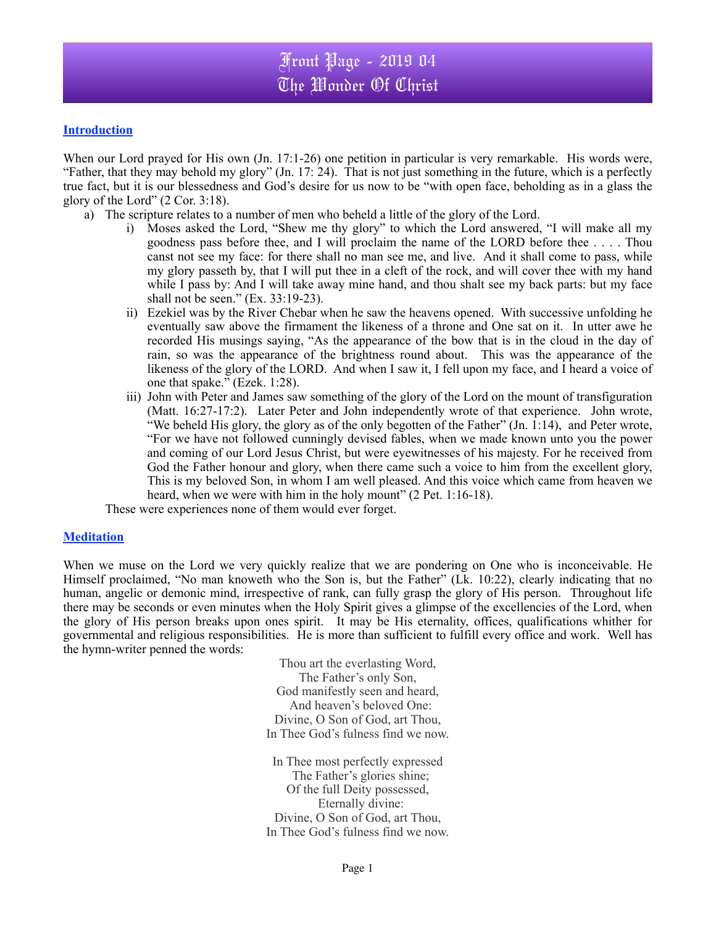## **Introduction**

When our Lord prayed for His own (Jn. 17:1-26) one petition in particular is very remarkable. His words were, "Father, that they may behold my glory" (Jn. 17: 24). That is not just something in the future, which is a perfectly true fact, but it is our blessedness and God's desire for us now to be "with open face, beholding as in a glass the glory of the Lord" (2 Cor. 3:18).

- a) The scripture relates to a number of men who beheld a little of the glory of the Lord.
	- i) Moses asked the Lord, "Shew me thy glory" to which the Lord answered, "I will make all my goodness pass before thee, and I will proclaim the name of the LORD before thee . . . . Thou canst not see my face: for there shall no man see me, and live. And it shall come to pass, while my glory passeth by, that I will put thee in a cleft of the rock, and will cover thee with my hand while I pass by: And I will take away mine hand, and thou shalt see my back parts: but my face shall not be seen." (Ex. 33:19-23).
	- ii) Ezekiel was by the River Chebar when he saw the heavens opened. With successive unfolding he eventually saw above the firmament the likeness of a throne and One sat on it. In utter awe he recorded His musings saying, "As the appearance of the bow that is in the cloud in the day of rain, so was the appearance of the brightness round about. This was the appearance of the likeness of the glory of the LORD. And when I saw it, I fell upon my face, and I heard a voice of one that spake." (Ezek. 1:28).
	- iii) John with Peter and James saw something of the glory of the Lord on the mount of transfiguration (Matt. 16:27-17:2). Later Peter and John independently wrote of that experience. John wrote, "We beheld His glory, the glory as of the only begotten of the Father" (Jn.  $\hat{1}:14$ ), and Peter wrote, "For we have not followed cunningly devised fables, when we made known unto you the power and coming of our Lord Jesus Christ, but were eyewitnesses of his majesty. For he received from God the Father honour and glory, when there came such a voice to him from the excellent glory, This is my beloved Son, in whom I am well pleased. And this voice which came from heaven we heard, when we were with him in the holy mount" (2 Pet. 1:16-18).

These were experiences none of them would ever forget.

## **Meditation**

When we muse on the Lord we very quickly realize that we are pondering on One who is inconceivable. He Himself proclaimed, "No man knoweth who the Son is, but the Father" (Lk. 10:22), clearly indicating that no human, angelic or demonic mind, irrespective of rank, can fully grasp the glory of His person. Throughout life there may be seconds or even minutes when the Holy Spirit gives a glimpse of the excellencies of the Lord, when the glory of His person breaks upon ones spirit. It may be His eternality, offices, qualifications whither for governmental and religious responsibilities. He is more than sufficient to fulfill every office and work. Well has the hymn-writer penned the words:

> Thou art the everlasting Word, The Father's only Son, God manifestly seen and heard, And heaven's beloved One: Divine, O Son of God, art Thou, In Thee God's fulness find we now.

> In Thee most perfectly expressed The Father's glories shine; Of the full Deity possessed, Eternally divine: Divine, O Son of God, art Thou, In Thee God's fulness find we now.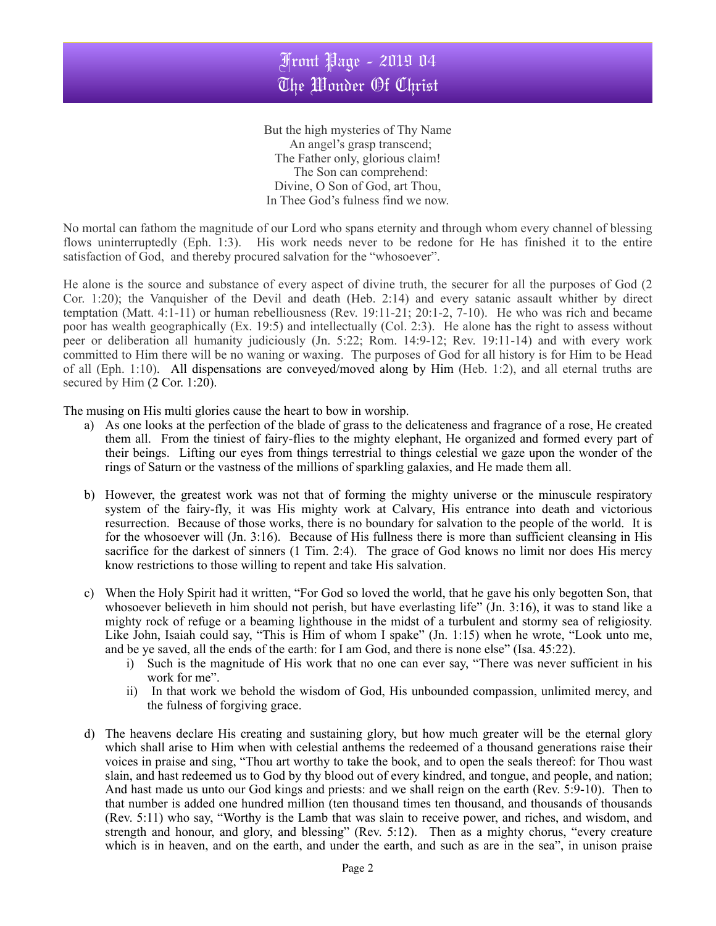But the high mysteries of Thy Name An angel's grasp transcend; The Father only, glorious claim! The Son can comprehend: Divine, O Son of God, art Thou, In Thee God's fulness find we now.

No mortal can fathom the magnitude of our Lord who spans eternity and through whom every channel of blessing flows uninterruptedly (Eph. 1:3). His work needs never to be redone for He has finished it to the entire satisfaction of God, and thereby procured salvation for the "whosoever".

He alone is the source and substance of every aspect of divine truth, the securer for all the purposes of God (2 Cor. 1:20); the Vanquisher of the Devil and death (Heb. 2:14) and every satanic assault whither by direct temptation (Matt. 4:1-11) or human rebelliousness (Rev. 19:11-21; 20:1-2, 7-10). He who was rich and became poor has wealth geographically (Ex. 19:5) and intellectually (Col. 2:3). He alone has the right to assess without peer or deliberation all humanity judiciously (Jn. 5:22; Rom. 14:9-12; Rev. 19:11-14) and with every work committed to Him there will be no waning or waxing. The purposes of God for all history is for Him to be Head of all (Eph. 1:10). All dispensations are conveyed/moved along by Him (Heb. 1:2), and all eternal truths are secured by Him  $(2$  Cor. 1:20).

The musing on His multi glories cause the heart to bow in worship.

- a) As one looks at the perfection of the blade of grass to the delicateness and fragrance of a rose, He created them all. From the tiniest of fairy-flies to the mighty elephant, He organized and formed every part of their beings. Lifting our eyes from things terrestrial to things celestial we gaze upon the wonder of the rings of Saturn or the vastness of the millions of sparkling galaxies, and He made them all.
- b) However, the greatest work was not that of forming the mighty universe or the minuscule respiratory system of the fairy-fly, it was His mighty work at Calvary, His entrance into death and victorious resurrection. Because of those works, there is no boundary for salvation to the people of the world. It is for the whosoever will (Jn. 3:16). Because of His fullness there is more than sufficient cleansing in His sacrifice for the darkest of sinners (1 Tim. 2:4). The grace of God knows no limit nor does His mercy know restrictions to those willing to repent and take His salvation.
- c) When the Holy Spirit had it written, "For God so loved the world, that he gave his only begotten Son, that whosoever believeth in him should not perish, but have everlasting life" (Jn. 3:16), it was to stand like a mighty rock of refuge or a beaming lighthouse in the midst of a turbulent and stormy sea of religiosity. Like John, Isaiah could say, "This is Him of whom I spake" (Jn. 1:15) when he wrote, "Look unto me, and be ye saved, all the ends of the earth: for I am God, and there is none else" (Isa. 45:22).
	- i) Such is the magnitude of His work that no one can ever say, "There was never sufficient in his work for me".
	- ii) In that work we behold the wisdom of God, His unbounded compassion, unlimited mercy, and the fulness of forgiving grace.
- d) The heavens declare His creating and sustaining glory, but how much greater will be the eternal glory which shall arise to Him when with celestial anthems the redeemed of a thousand generations raise their voices in praise and sing, "Thou art worthy to take the book, and to open the seals thereof: for Thou wast slain, and hast redeemed us to God by thy blood out of every kindred, and tongue, and people, and nation; And hast made us unto our God kings and priests: and we shall reign on the earth (Rev. 5:9-10). Then to that number is added one hundred million (ten thousand times ten thousand, and thousands of thousands (Rev. 5:11) who say, "Worthy is the Lamb that was slain to receive power, and riches, and wisdom, and strength and honour, and glory, and blessing" (Rev. 5:12). Then as a mighty chorus, "every creature which is in heaven, and on the earth, and under the earth, and such as are in the sea", in unison praise